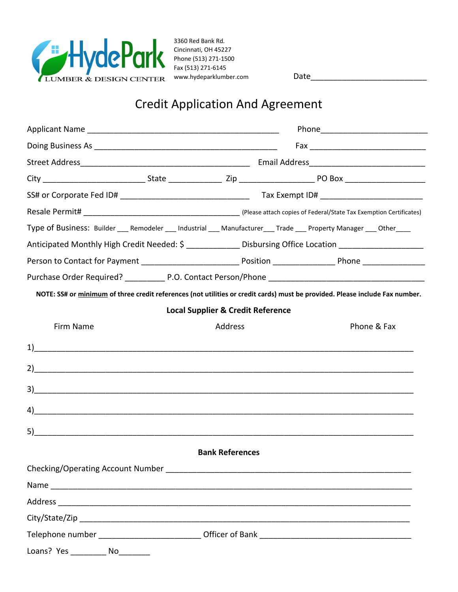

3360 Red Bank Rd. Cincinnati, OH 45227 Phone (513) 271-1500 Fax (513) 271-6145 www.hydeparklumber.com Date

## Credit Application And Agreement

| Type of Business: Builder ___ Remodeler ___ Industrial ___ Manufacturer ___ Trade ___ Property Manager ___ Other ___         |                                                                                                       |             |  |  |
|------------------------------------------------------------------------------------------------------------------------------|-------------------------------------------------------------------------------------------------------|-------------|--|--|
|                                                                                                                              | Anticipated Monthly High Credit Needed: \$ _____________ Disbursing Office Location _________________ |             |  |  |
|                                                                                                                              |                                                                                                       |             |  |  |
|                                                                                                                              |                                                                                                       |             |  |  |
| NOTE: SS# or minimum of three credit references (not utilities or credit cards) must be provided. Please include Fax number. |                                                                                                       |             |  |  |
|                                                                                                                              | <b>Local Supplier &amp; Credit Reference</b>                                                          |             |  |  |
| Firm Name                                                                                                                    | Address                                                                                               | Phone & Fax |  |  |
| $\overline{1}$ $\overline{1}$                                                                                                |                                                                                                       |             |  |  |
| $2)$ $\overline{\phantom{a}}$                                                                                                |                                                                                                       |             |  |  |
|                                                                                                                              |                                                                                                       |             |  |  |
| 4)                                                                                                                           |                                                                                                       |             |  |  |
|                                                                                                                              |                                                                                                       |             |  |  |
|                                                                                                                              | <b>Bank References</b>                                                                                |             |  |  |
|                                                                                                                              |                                                                                                       |             |  |  |
|                                                                                                                              |                                                                                                       |             |  |  |
|                                                                                                                              |                                                                                                       |             |  |  |
|                                                                                                                              |                                                                                                       |             |  |  |
|                                                                                                                              |                                                                                                       |             |  |  |
| Loans? Yes<br>No                                                                                                             |                                                                                                       |             |  |  |